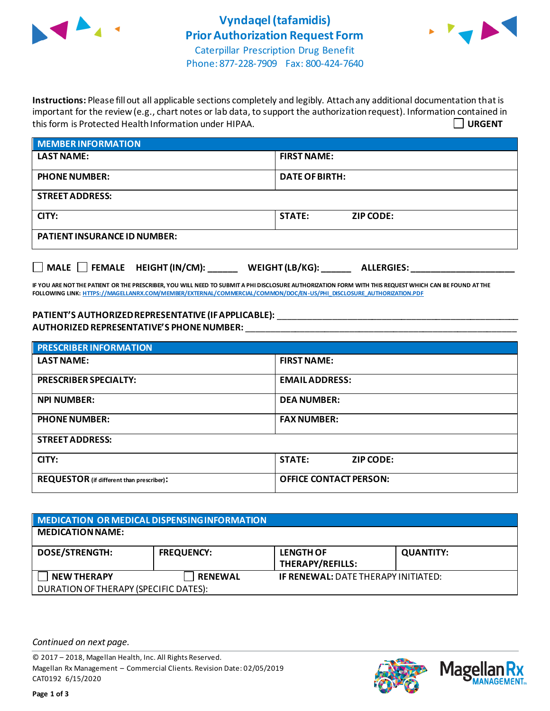



Phone: 877-228-7909 Fax: 800-424-7640

**Instructions:** Please fill out all applicable sections completely and legibly. Attach any additional documentation that is important for the review (e.g., chart notes or lab data, to support the authorization request). Information contained in this form is Protected Health Information under HIPAA. **URGENT**

| <b>MEMBER INFORMATION</b>           |                                   |
|-------------------------------------|-----------------------------------|
| <b>LAST NAME:</b>                   | <b>FIRST NAME:</b>                |
| <b>PHONE NUMBER:</b>                | DATE OF BIRTH:                    |
| <b>STREET ADDRESS:</b>              |                                   |
| CITY:                               | <b>STATE:</b><br><b>ZIP CODE:</b> |
| <b>PATIENT INSURANCE ID NUMBER:</b> |                                   |
|                                     |                                   |

**IF YOU ARE NOT THE PATIENT OR THE PRESCRIBER, YOU WILL NEED TO SUBMIT A PHI DISCLOSURE AUTHORIZATION FORM WITH THIS REQUEST WHICH CAN BE FOUND AT THE FOLLOWING LINK[: HTTPS://MAGELLANRX.COM/MEMBER/EXTERNAL/COMMERCIAL/COMMON/DOC/EN-US/PHI\\_DISCLOSURE\\_AUTHORIZATION.PDF](https://magellanrx.com/member/external/commercial/common/doc/en-us/PHI_Disclosure_Authorization.pdf)**

**MALE FEMALE HEIGHT (IN/CM): \_\_\_\_\_\_ WEIGHT (LB/KG): \_\_\_\_\_\_ ALLERGIES: \_\_\_\_\_\_\_\_\_\_\_\_\_\_\_\_\_\_\_\_\_**

**PATIENT'S AUTHORIZED REPRESENTATIVE (IF APPLICABLE):** \_\_\_\_\_\_\_\_\_\_\_\_\_\_\_\_\_\_\_\_\_\_\_\_\_\_\_\_\_\_\_\_\_\_\_\_\_\_\_\_\_\_\_\_\_\_\_\_\_ **AUTHORIZED REPRESENTATIVE'S PHONE NUMBER:** \_\_\_\_\_\_\_\_\_\_\_\_\_\_\_\_\_\_\_\_\_\_\_\_\_\_\_\_\_\_\_\_\_\_\_\_\_\_\_\_\_\_\_\_\_\_\_\_\_\_\_\_\_\_\_

| <b>PRESCRIBER INFORMATION</b>             |                                   |  |
|-------------------------------------------|-----------------------------------|--|
| <b>LAST NAME:</b>                         | <b>FIRST NAME:</b>                |  |
| <b>PRESCRIBER SPECIALTY:</b>              | <b>EMAIL ADDRESS:</b>             |  |
| <b>NPI NUMBER:</b>                        | <b>DEA NUMBER:</b>                |  |
| <b>PHONE NUMBER:</b>                      | <b>FAX NUMBER:</b>                |  |
| <b>STREET ADDRESS:</b>                    |                                   |  |
| CITY:                                     | <b>STATE:</b><br><b>ZIP CODE:</b> |  |
| REQUESTOR (if different than prescriber): | <b>OFFICE CONTACT PERSON:</b>     |  |

| MEDICATION OR MEDICAL DISPENSING INFORMATION |                   |                                             |                  |  |
|----------------------------------------------|-------------------|---------------------------------------------|------------------|--|
| <b>MEDICATION NAME:</b>                      |                   |                                             |                  |  |
| <b>DOSE/STRENGTH:</b>                        | <b>FREQUENCY:</b> | <b>LENGTH OF</b><br><b>THERAPY/REFILLS:</b> | <b>QUANTITY:</b> |  |
| <b>NEW THERAPY</b>                           | <b>RENEWAL</b>    | <b>IF RENEWAL: DATE THERAPY INITIATED:</b>  |                  |  |
| DURATION OF THERAPY (SPECIFIC DATES):        |                   |                                             |                  |  |

*Continued on next page.*

© 2017 – 2018, Magellan Health, Inc. All Rights Reserved. Magellan Rx Management – Commercial Clients. Revision Date: 02/05/2019 CAT0192 6/15/2020



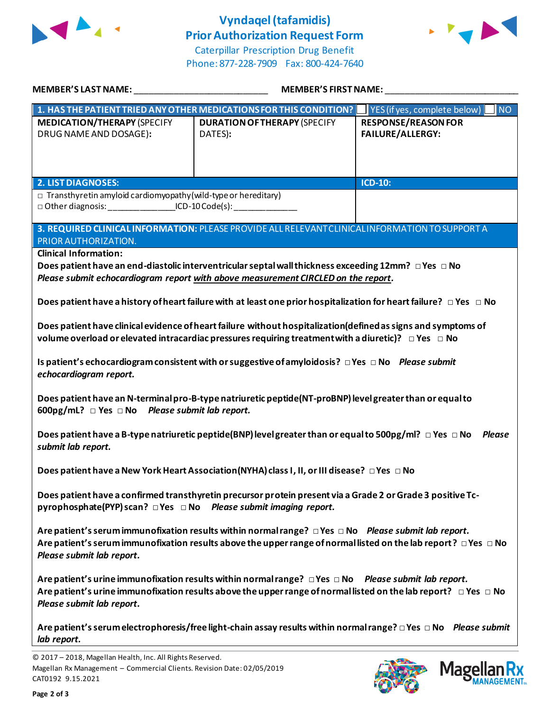

## **Vyndaqel(tafamidis) Prior Authorization Request Form**



Caterpillar Prescription Drug Benefit Phone: 877-228-7909 Fax: 800-424-7640

| MEMBER'S LAST NAME: NAME AND ACCOUNT AND A SERIES OF THE STATE OF THE STATE OF THE STATE OF THE STATE OF THE S                                                                                                                                                           | <b>MEMBER'S FIRST NAME:</b>                                                                                                                                                                                                                 |                                                       |  |  |
|--------------------------------------------------------------------------------------------------------------------------------------------------------------------------------------------------------------------------------------------------------------------------|---------------------------------------------------------------------------------------------------------------------------------------------------------------------------------------------------------------------------------------------|-------------------------------------------------------|--|--|
|                                                                                                                                                                                                                                                                          | 1. HAS THE PATIENT TRIED ANY OTHER MEDICATIONS FOR THIS CONDITION? IF YES (if yes, complete below)                                                                                                                                          | NO                                                    |  |  |
| <b>MEDICATION/THERAPY (SPECIFY</b><br>DRUG NAME AND DOSAGE):                                                                                                                                                                                                             | <b>DURATION OF THERAPY (SPECIFY</b><br>DATES):                                                                                                                                                                                              | <b>RESPONSE/REASON FOR</b><br><b>FAILURE/ALLERGY:</b> |  |  |
| <b>2. LIST DIAGNOSES:</b>                                                                                                                                                                                                                                                |                                                                                                                                                                                                                                             | <b>ICD-10:</b>                                        |  |  |
| $\Box$ Transthyretin amyloid cardiomyopathy (wild-type or hereditary)<br>□ Other diagnosis: ____________________ICD-10 Code(s): ________________________                                                                                                                 |                                                                                                                                                                                                                                             |                                                       |  |  |
| PRIOR AUTHORIZATION.                                                                                                                                                                                                                                                     | 3. REQUIRED CLINICAL INFORMATION: PLEASE PROVIDE ALL RELEVANT CLINICAL INFORMATION TO SUPPORT A                                                                                                                                             |                                                       |  |  |
| <b>Clinical Information:</b>                                                                                                                                                                                                                                             |                                                                                                                                                                                                                                             |                                                       |  |  |
|                                                                                                                                                                                                                                                                          | Does patient have an end-diastolic interventricular septal wall thickness exceeding 12mm? $\Box$ Yes $\Box$ No<br>Please submit echocardiogram report with above measurement CIRCLED on the report.                                         |                                                       |  |  |
| Does patient have a history of heart failure with at least one prior hospitalization for heart failure? $\Box$ Yes $\Box$ No                                                                                                                                             |                                                                                                                                                                                                                                             |                                                       |  |  |
| Does patient have clinical evidence of heart failure without hospitalization(defined as signs and symptoms of<br>volume overload or elevated intracardiac pressures requiring treatment with a diuretic)? $\Box$ Yes $\Box$ No                                           |                                                                                                                                                                                                                                             |                                                       |  |  |
| Is patient's echocardiogram consistent with or suggestive of amyloidosis? $\Box$ Yes $\Box$ No Please submit<br>echocardiogram report.                                                                                                                                   |                                                                                                                                                                                                                                             |                                                       |  |  |
| Does patient have an N-terminal pro-B-type natriuretic peptide (NT-proBNP) level greater than or equal to<br>600pg/mL? □ Yes □ No  Please submit lab report.                                                                                                             |                                                                                                                                                                                                                                             |                                                       |  |  |
| Does patient have a B-type natriuretic peptide(BNP) level greater than or equal to 500pg/ml? $\Box$ Yes $\Box$ No Please<br>submit lab report.                                                                                                                           |                                                                                                                                                                                                                                             |                                                       |  |  |
|                                                                                                                                                                                                                                                                          | Does patient have a New York Heart Association (NYHA) class I, II, or III disease? □ Yes □ No                                                                                                                                               |                                                       |  |  |
| Does patient have a confirmed transthyretin precursor protein present via a Grade 2 or Grade 3 positive Tc-<br>pyrophosphate(PYP) scan? □ Yes □ No Please submit imaging report.                                                                                         |                                                                                                                                                                                                                                             |                                                       |  |  |
| Are patient's serum immunofixation results within normal range? $\Box$ Yes $\Box$ No Please submit lab report.<br>Are patient's serum immunofixation results above the upper range of normal listed on the lab report? $\Box$ Yes $\Box$ No<br>Please submit lab report. |                                                                                                                                                                                                                                             |                                                       |  |  |
| Please submit lab report.                                                                                                                                                                                                                                                | Are patient's urine immunofixation results within normal range? $\Box$ Yes $\Box$ No Please submit lab report.<br>Are patient's urine immunofixation results above the upper range of normal listed on the lab report? $\Box$ Yes $\Box$ No |                                                       |  |  |
| lab report.                                                                                                                                                                                                                                                              | Are patient's serum electrophoresis/free light-chain assay results within normal range? $\Box$ Yes $\Box$ No Please submit                                                                                                                  |                                                       |  |  |



**Mage** 

Кx **ANAGEMENT**<sub>SM</sub>

<sup>© 2017</sup> – 2018, Magellan Health, Inc. All Rights Reserved. Magellan Rx Management – Commercial Clients. Revision Date: 02/05/2019 CAT0192 9.15.2021